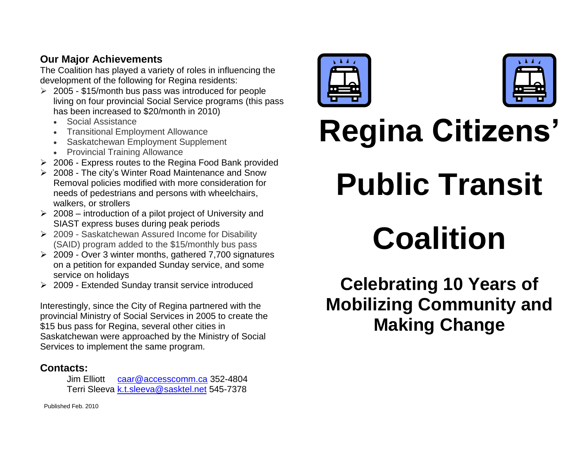## **Our Major Achievements**

The Coalition has played a variety of roles in influencing the development of the following for Regina residents:

- 2005 \$15/month bus pass was introduced for people living on four provincial Social Service programs (this pass has been increased to \$20/month in 2010)
	- Social Assistance
	- Transitional Employment Allowance
	- Saskatchewan Employment Supplement
	- Provincial Training Allowance
- $\geq$  2006 Express routes to the Regina Food Bank provided
- 2008 The city's Winter Road Maintenance and Snow Removal policies modified with more consideration for needs of pedestrians and persons with wheelchairs, walkers, or strollers
- $\geq 2008$  introduction of a pilot project of University and SIAST express buses during peak periods
- $\geq 2009$  Saskatchewan Assured Income for Disability (SAID) program added to the \$15/monthly bus pass
- $\geq 2009$  Over 3 winter months, gathered 7,700 signatures on a petition for expanded Sunday service, and some service on holidays
- 2009 Extended Sunday transit service introduced

Interestingly, since the City of Regina partnered with the provincial Ministry of Social Services in 2005 to create the \$15 bus pass for Regina, several other cities in Saskatchewan were approached by the Ministry of Social Services to implement the same program.

## **Contacts:**

Jim Elliott [caar@accesscomm.ca](mailto:caar@accesscomm.ca) 352-4804 Terri Sleeva [k.t.sleeva@sasktel.net](mailto:ktsleeva@sasktel.net) 545-7378



| ۰<br>v. |  |
|---------|--|
|         |  |
|         |  |
| -       |  |
|         |  |

# **Regina Citizens' Public Transit Coalition**

# **Celebrating 10 Years of Mobilizing Community and Making Change**

Published Feb. 2010